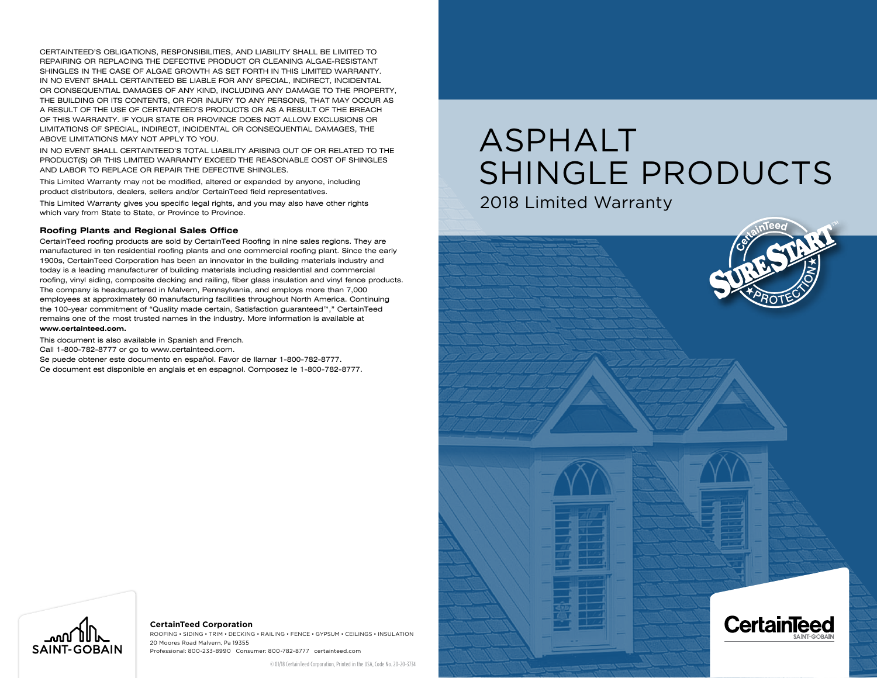CERTAINTEED'S OBLIGATIONS, RESPONSIBILITIES, AND LIABILITY SHALL BE LIMITED TO REPAIRING OR REPLACING THE DEFECTIVE PRODUCT OR CLEANING ALGAE-RESISTANT SHINGLES IN THE CASE OF ALGAE GROWTH AS SET FORTH IN THIS LIMITED WARRANTY. IN NO EVENT SHALL CERTAINTEED BE LIABLE FOR ANY SPECIAL, INDIRECT, INCIDENTAL OR CONSEQUENTIAL DAMAGES OF ANY KIND, INCLUDING ANY DAMAGE TO THE PROPERTY, THE BUILDING OR ITS CONTENTS, OR FOR INJURY TO ANY PERSONS, THAT MAY OCCUR AS A RESULT OF THE USE OF CERTAINTEED'S PRODUCTS OR AS A RESULT OF THE BREACH OF THIS WARRANTY. IF YOUR STATE OR PROVINCE DOES NOT ALLOW EXCLUSIONS OR LIMITATIONS OF SPECIAL, INDIRECT, INCIDENTAL OR CONSEQUENTIAL DAMAGES, THE ABOVE LIMITATIONS MAY NOT APPLY TO YOU.

IN NO EVENT SHALL CERTAINTEED'S TOTAL LIABILITY ARISING OUT OF OR RELATED TO THE PRODUCT(S) OR THIS LIMITED WARRANTY EXCEED THE REASONABLE COST OF SHINGLES AND LABOR TO REPLACE OR REPAIR THE DEFECTIVE SHINGLES.

This Limited Warranty may not be modified, altered or expanded by anyone, including product distributors, dealers, sellers and/or CertainTeed field representatives.

This Limited Warranty gives you specific legal rights, and you may also have other rights which vary from State to State, or Province to Province.

#### **Roofing Plants and Regional Sales Office**

CertainTeed roofing products are sold by CertainTeed Roofing in nine sales regions. They are manufactured in ten residential roofing plants and one commercial roofing plant. Since the early 1900s, CertainTeed Corporation has been an innovator in the building materials industry and today is a leading manufacturer of building materials including residential and commercial roofing, vinyl siding, composite decking and railing, fiber glass insulation and vinyl fence products. The company is headquartered in Malvern, Pennsylvania, and employs more than 7,000 employees at approximately 60 manufacturing facilities throughout North America. Continuing the 100-year commitment of "Quality made certain, Satisfaction guaranteed™," CertainTeed remains one of the most trusted names in the industry. More information is available at **www.certainteed.com.**

This document is also available in Spanish and French.

Call 1-800-782-8777 or go to www.certainteed.com.

Se puede obtener este documento en español. Favor de llamar 1-800-782-8777. Ce document est disponible en anglais et en espagnol. Composez le 1-800-782-8777.

# ASPHALT SHINGLE PRODUCTS

2018 Limited Warranty





#### **CertainTeed Corporation**

ROOFING • SIDING • TRIM • DECKING • RAILING • FENCE • Gypsum • CEILINGS • INSULATION 20 Moores Road Malvern, Pa 19355 Professional: 800-233-8990 Consumer: 800-782-8777 certainteed.com

© 01/18 CertainTeed Corporation, Printed in the USA, Code No. 20-20-3734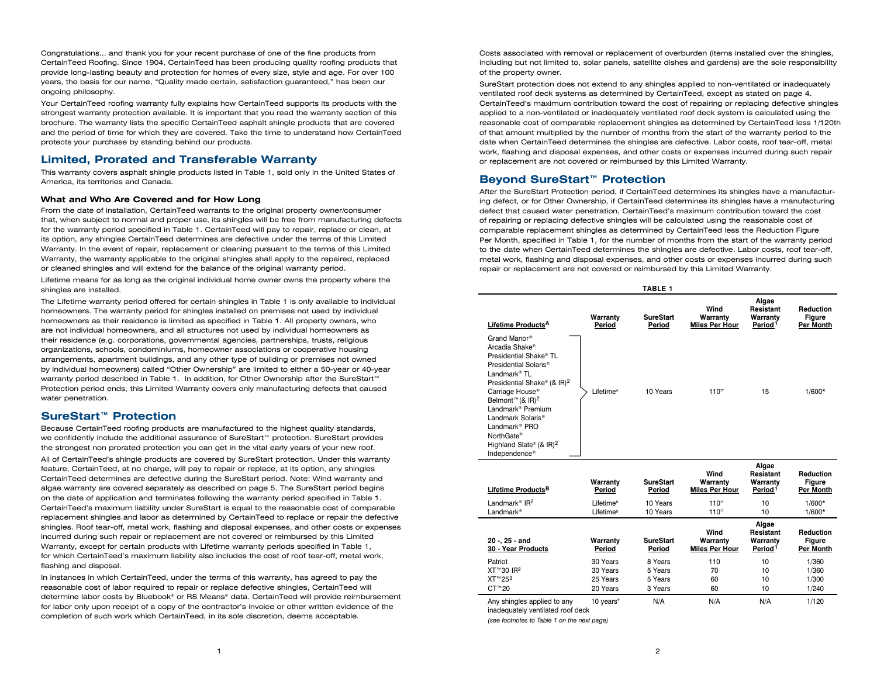Congratulations... and thank you for your recent purchase of one of the fine products from CertainTeed Roofing. Since 1904, CertainTeed has been producing quality roofing products that provide long-lasting beauty and protection for homes of every size, style and age. For over 100 years, the basis for our name, "Quality made certain, satisfaction guaranteed," has been our ongoing philosophy.

Your CertainTeed roofing warranty fully explains how CertainTeed supports its products with the strongest warranty protection available. It is important that you read the warranty section of this brochure. The warranty lists the specific CertainTeed asphalt shingle products that are covered and the period of time for which they are covered. Take the time to understand how CertainTeed protects your purchase by standing behind our products.

# **Limited, Prorated and Transferable Warranty**

This warranty covers asphalt shingle products listed in Table 1, sold only in the United States of America, its territories and Canada.

## **What and Who Are Covered and for How Long**

From the date of installation, CertainTeed warrants to the original property owner/consumer that, when subject to normal and proper use, its shingles will be free from manufacturing defects for the warranty period specified in Table 1. CertainTeed will pay to repair, replace or clean, at its option, any shingles CertainTeed determines are defective under the terms of this Limited Warranty. In the event of repair, replacement or cleaning pursuant to the terms of this Limited Warranty, the warranty applicable to the original shingles shall apply to the repaired, replaced or cleaned shingles and will extend for the balance of the original warranty period.

Lifetime means for as long as the original individual home owner owns the property where the shingles are installed.

The Lifetime warranty period offered for certain shingles in Table 1 is only available to individual homeowners. The warranty period for shingles installed on premises not used by individual homeowners as their residence is limited as specified in Table 1. All property owners, who are not individual homeowners, and all structures not used by individual homeowners as their residence (e.g. corporations, governmental agencies, partnerships, trusts, religious organizations, schools, condominiums, homeowner associations or cooperative housing arrangements, apartment buildings, and any other type of building or premises not owned by individual homeowners) called "Other Ownership" are limited to either a 50-year or 40-year warranty period described in Table 1. In addition, for Other Ownership after the SureStart™ Protection period ends, this Limited Warranty covers only manufacturing defects that caused water penetration.

# **SureStart™ Protection**

Because CertainTeed roofing products are manufactured to the highest quality standards, we confidently include the additional assurance of SureStart™ protection. SureStart provides the strongest non prorated protection you can get in the vital early years of your new roof.

All of CertainTeed's shingle products are covered by SureStart protection. Under this warranty feature, CertainTeed, at no charge, will pay to repair or replace, at its option, any shingles CertainTeed determines are defective during the SureStart period. Note: Wind warranty and algae warranty are covered separately as described on page 5. The SureStart period begins on the date of application and terminates following the warranty period specified in Table 1. CertainTeed's maximum liability under SureStart is equal to the reasonable cost of comparable replacement shingles and labor as determined by CertainTeed to replace or repair the defective shingles. Roof tear-off, metal work, flashing and disposal expenses, and other costs or expenses incurred during such repair or replacement are not covered or reimbursed by this Limited Warranty, except for certain products with Lifetime warranty periods specified in Table 1, for which CertainTeed's maximum liability also includes the cost of roof tear-off, metal work, flashing and disposal.

In instances in which CertainTeed, under the terms of this warranty, has agreed to pay the reasonable cost of labor required to repair or replace defective shingles, CertainTeed will determine labor costs by Bluebook® or RS Means® data. CertainTeed will provide reimbursement for labor only upon receipt of a copy of the contractor's invoice or other written evidence of the completion of such work which CertainTeed, in its sole discretion, deems acceptable.

Costs associated with removal or replacement of overburden (items installed over the shingles, including but not limited to, solar panels, satellite dishes and gardens) are the sole responsibility of the property owner.

SureStart protection does not extend to any shingles applied to non-ventilated or inadequately ventilated roof deck systems as determined by CertainTeed, except as stated on page 4. CertainTeed's maximum contribution toward the cost of repairing or replacing defective shingles applied to a non-ventilated or inadequately ventilated roof deck system is calculated using the reasonable cost of comparable replacement shingles as determined by CertainTeed less 1/120th of that amount multiplied by the number of months from the start of the warranty period to the date when CertainTeed determines the shingles are defective. Labor costs, roof tear-off, metal work, flashing and disposal expenses, and other costs or expenses incurred during such repair or replacement are not covered or reimbursed by this Limited Warranty.

# **Beyond SureStart™ Protection**

After the SureStart Protection period, if CertainTeed determines its shingles have a manufacturing defect, or for Other Ownership, if CertainTeed determines its shingles have a manufacturing defect that caused water penetration, CertainTeed's maximum contribution toward the cost of repairing or replacing defective shingles will be calculated using the reasonable cost of comparable replacement shingles as determined by CertainTeed less the Reduction Figure Per Month, specified in Table 1, for the number of months from the start of the warranty period to the date when CertainTeed determines the shingles are defective. Labor costs, roof tear-off, metal work, flashing and disposal expenses, and other costs or expenses incurred during such repair or replacement are not covered or reimbursed by this Limited Warranty.

| Algae<br>Resistant<br>Wind<br><b>Reduction</b><br>Warranty<br><b>SureStart</b><br>Warranty<br>Warranty<br>Figure<br>Lifetime Products <sup>A</sup><br>Period <sup>1</sup><br><b>Miles Per Hour</b><br><b>Per Month</b><br>Period<br>Period<br>Grand Manor®<br>Arcadia Shake <sup>®</sup><br>Presidential Shake® TL<br>Presidential Solaris <sup>®</sup><br>Landmark <sup>®</sup> TL<br>Presidential Shake® (& IR) <sup>2</sup><br>Carriage House <sup>®</sup><br>Lifetime <sup>A</sup><br>10 Years<br>$110^{+1}$<br>15<br>$1/600*$<br>Belmont <sup>™</sup> (& IR) <sup>2</sup><br>Landmark <sup>®</sup> Premium<br>Landmark Solaris <sup>®</sup><br>Landmark <sup>®</sup> PRO<br>NorthGate®<br>Highland Slate® (& $IR$ ) <sup>2</sup><br>Independence <sup>®</sup> |  | TABLE 1 |  |  |
|--------------------------------------------------------------------------------------------------------------------------------------------------------------------------------------------------------------------------------------------------------------------------------------------------------------------------------------------------------------------------------------------------------------------------------------------------------------------------------------------------------------------------------------------------------------------------------------------------------------------------------------------------------------------------------------------------------------------------------------------------------------------|--|---------|--|--|
|                                                                                                                                                                                                                                                                                                                                                                                                                                                                                                                                                                                                                                                                                                                                                                    |  |         |  |  |
|                                                                                                                                                                                                                                                                                                                                                                                                                                                                                                                                                                                                                                                                                                                                                                    |  |         |  |  |

| Lifetime Products <sup>B</sup>                                   | Warranty<br>Period                             | <b>SureStart</b><br>Period | Wind<br>Warranty<br><b>Miles Per Hour</b> | Algae<br>Resistant<br>Warranty<br>Period <sup>1</sup> | <b>Reduction</b><br>Figure<br><b>Per Month</b> |
|------------------------------------------------------------------|------------------------------------------------|----------------------------|-------------------------------------------|-------------------------------------------------------|------------------------------------------------|
| Landmark <sup>®</sup> $IR2$<br>Landmark <sup>®</sup>             | Lifetime <sup>B</sup><br>Lifetime <sup>B</sup> | 10 Years<br>10 Years       | $110^{+1}$<br>$110^{+1}$                  | 10<br>10                                              | $1/600*$<br>$1/600*$                           |
| 20 -, 25 - and<br>30 - Year Products                             | Warranty<br>Period                             | <b>SureStart</b><br>Period | Wind<br>Warranty<br><b>Miles Per Hour</b> | Algae<br>Resistant<br>Warranty<br>Period <sup>1</sup> | <b>Reduction</b><br>Figure<br><b>Per Month</b> |
| Patriot                                                          | 30 Years                                       | 8 Years                    | 110                                       | 10                                                    | 1/360                                          |
| XT™30 IR <sup>2</sup>                                            | 30 Years                                       | 5 Years                    | 70                                        | 10                                                    | 1/360                                          |
| XT™253                                                           | 25 Years                                       | 5 Years                    | 60                                        | 10                                                    | 1/300                                          |
| CT™20                                                            | 20 Years                                       | 3 Years                    | 60                                        | 10                                                    | 1/240                                          |
| Any shingles applied to any<br>inadequately ventilated roof deck | 10 years <sup><math>†</math></sup>             | N/A                        | N/A                                       | N/A                                                   | 1/120                                          |

*(see footnotes to Table 1 on the next page)*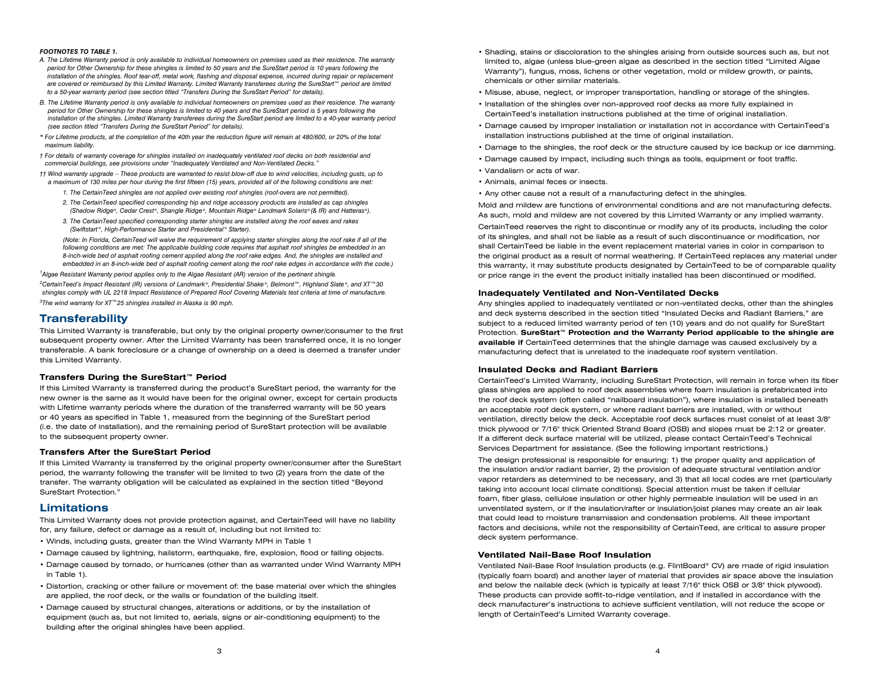#### *FOOTNOTES TO TABLE 1.*

- *A. The Lifetime Warranty period is only available to individual homeowners on premises used as their residence. The warranty period for Other Ownership for these shingles is limited to 50 years and the SureStart period is 10 years following the installation of the shingles. Roof tear-off, metal work, flashing and disposal expense, incurred during repair or replacement are covered or reimbursed by this Limited Warranty. Limited Warranty transferees during the SureStart™ period are limited to a 50-year warranty period (see section titled "Transfers During the SureStart Period" for details).*
- *B. The Lifetime Warranty period is only available to individual homeowners on premises used as their residence. The warranty period for Other Ownership for these shingles is limited to 40 years and the SureStart period is 5 years following the installation of the shingles. Limited Warranty transferees during the SureStart period are limited to a 40-year warranty period (see section titled "Transfers During the SureStart Period" for details).*
- *\* For Lifetime products, at the completion of the 40th year the reduction figure will remain at 480/600, or 20% of the total maximum liability.*
- *† For details of warranty coverage for shingles installed on inadequately ventilated roof decks on both residential and commercial buildings, see provisions under "Inadequately Ventilated and Non-Ventilated Decks."*
- *†† Wind warranty upgrade These products are warranted to resist blow-off due to wind velocities, including gusts, up to a maximum of 130 miles per hour during the first fifteen (15) years, provided all of the following conditions are met:*
	- *1. The CertainTeed shingles are not applied over existing roof shingles (roof-overs are not permitted).*
	- *2. The CertainTeed specified corresponding hip and ridge accessory products are installed as cap shingles (Shadow Ridge®, Cedar Crest®, Shangle Ridge®, Mountain Ridge® Landmark Solaris® (& IR) and Hatteras®).*
	- *3. The CertainTeed specified corresponding starter shingles are installed along the roof eaves and rakes (Swiftstart ®, High-Performance Starter and Presidential ® Starter).*

 *(Note: In Florida, CertainTeed will waive the requirement of applying starter shingles along the roof rake if all of the following conditions are met: The applicable building code requires that asphalt roof shingles be embedded in an 8-inch-wide bed of asphalt roofing cement applied along the roof rake edges. And, the shingles are installed and embedded in an 8-inch-wide bed of asphalt roofing cement along the roof rake edges in accordance with the code.)*

*1 Algae Resistant Warranty period applies only to the Algae Resistant (AR) version of the pertinent shingle.*

*2 CertainTeed's Impact Resistant (IR) versions of Landmark ®, Presidential Shake ®, Belmont™, Highland Slate ®, and XT™30 shingles comply with UL 2218 Impact Resistance of Prepared Roof Covering Materials test criteria at time of manufacture. 3 The wind warranty for XT™25 shingles installed in Alaska is 90 mph.*

#### **Transferability**

This Limited Warranty is transferable, but only by the original property owner/consumer to the first subsequent property owner. After the Limited Warranty has been transferred once, it is no longer transferable. A bank foreclosure or a change of ownership on a deed is deemed a transfer under this Limited Warranty.

#### **Transfers During the SureStart™ Period**

If this Limited Warranty is transferred during the product's SureStart period, the warranty for the new owner is the same as it would have been for the original owner, except for certain products with Lifetime warranty periods where the duration of the transferred warranty will be 50 years or 40 years as specified in Table 1, measured from the beginning of the SureStart period (i.e. the date of installation), and the remaining period of SureStart protection will be available to the subsequent property owner.

#### **Transfers After the SureStart Period**

If this Limited Warranty is transferred by the original property owner/consumer after the SureStart period, the warranty following the transfer will be limited to two (2) years from the date of the transfer. The warranty obligation will be calculated as explained in the section titled "Beyond SureStart Protection."

#### **Limitations**

This Limited Warranty does not provide protection against, and CertainTeed will have no liability for, any failure, defect or damage as a result of, including but not limited to:

- Winds, including gusts, greater than the Wind Warranty MPH in Table 1
- Damage caused by lightning, hailstorm, earthquake, fire, explosion, flood or falling objects.
- Damage caused by tornado, or hurricanes (other than as warranted under Wind Warranty MPH in Table 1).
- Distortion, cracking or other failure or movement of: the base material over which the shingles are applied, the roof deck, or the walls or foundation of the building itself.
- Damage caused by structural changes, alterations or additions, or by the installation of equipment (such as, but not limited to, aerials, signs or air-conditioning equipment) to the building after the original shingles have been applied.
- Shading, stains or discoloration to the shingles arising from outside sources such as, but not limited to, algae (unless blue-green algae as described in the section titled "Limited Algae Warranty"), fungus, moss, lichens or other vegetation, mold or mildew growth, or paints, chemicals or other similar materials.
- Misuse, abuse, neglect, or improper transportation, handling or storage of the shingles.
- Installation of the shingles over non-approved roof decks as more fully explained in CertainTeed's installation instructions published at the time of original installation.
- Damage caused by improper installation or installation not in accordance with CertainTeed's installation instructions published at the time of original installation.
- Damage to the shingles, the roof deck or the structure caused by ice backup or ice damming.
- Damage caused by impact, including such things as tools, equipment or foot traffic.
- Vandalism or acts of war.
- Animals, animal feces or insects.
- Any other cause not a result of a manufacturing defect in the shingles.

Mold and mildew are functions of environmental conditions and are not manufacturing defects. As such, mold and mildew are not covered by this Limited Warranty or any implied warranty. CertainTeed reserves the right to discontinue or modify any of its products, including the color of its shingles, and shall not be liable as a result of such discontinuance or modification, nor shall CertainTeed be liable in the event replacement material varies in color in comparison to the original product as a result of normal weathering. If CertainTeed replaces any material under this warranty, it may substitute products designated by CertainTeed to be of comparable quality or price range in the event the product initially installed has been discontinued or modified.

#### **Inadequately Ventilated and Non-Ventilated Decks**

Any shingles applied to inadequately ventilated or non-ventilated decks, other than the shingles and deck systems described in the section titled "Insulated Decks and Radiant Barriers," are subject to a reduced limited warranty period of ten (10) years and do not qualify for SureStart Protection. **SureStart™ Protection and the Warranty Period applicable to the shingle are available if** CertainTeed determines that the shingle damage was caused exclusively by a manufacturing defect that is unrelated to the inadequate roof system ventilation.

#### **Insulated Decks and Radiant Barriers**

CertainTeed's Limited Warranty, including SureStart Protection, will remain in force when its fiber glass shingles are applied to roof deck assemblies where foam insulation is prefabricated into the roof deck system (often called "nailboard insulation"), where insulation is installed beneath an acceptable roof deck system, or where radiant barriers are installed, with or without ventilation, directly below the deck. Acceptable roof deck surfaces must consist of at least 3/8" thick plywood or 7/16" thick Oriented Strand Board (OSB) and slopes must be 2:12 or greater. If a different deck surface material will be utilized, please contact CertainTeed's Technical Services Department for assistance. (See the following important restrictions.)

The design professional is responsible for ensuring: 1) the proper quality and application of the insulation and/or radiant barrier, 2) the provision of adequate structural ventilation and/or vapor retarders as determined to be necessary, and 3) that all local codes are met (particularly taking into account local climate conditions). Special attention must be taken if cellular foam, fiber glass, cellulose insulation or other highly permeable insulation will be used in an unventilated system, or if the insulation/rafter or insulation/joist planes may create an air leak that could lead to moisture transmission and condensation problems. All these important factors and decisions, while not the responsibility of CertainTeed, are critical to assure proper deck system performance.

#### **Ventilated Nail-Base Roof Insulation**

Ventilated Nail-Base Roof Insulation products (e.g. FlintBoard® CV) are made of rigid insulation (typically foam board) and another layer of material that provides air space above the insulation and below the nailable deck (which is typically at least 7/16" thick OSB or 3/8" thick plywood). These products can provide soffit-to-ridge ventilation, and if installed in accordance with the deck manufacturer's instructions to achieve sufficient ventilation, will not reduce the scope or length of CertainTeed's Limited Warranty coverage.